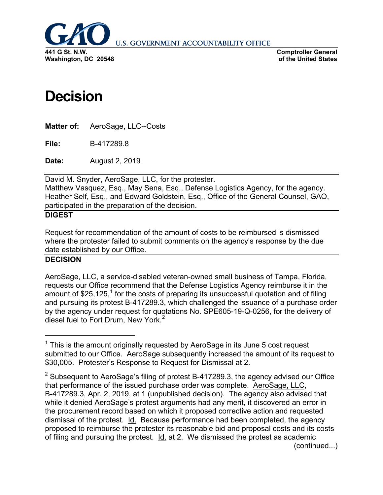

**U.S. GOVERNMENT ACCOUNTABILITY OFFICE** 

**Comptroller General of the United States**

## **Decision**

**Matter of:** AeroSage, LLC--Costs

**File:** B-417289.8

**Date:** August 2, 2019

David M. Snyder, AeroSage, LLC, for the protester. Matthew Vasquez, Esq., May Sena, Esq., Defense Logistics Agency, for the agency. Heather Self, Esq., and Edward Goldstein, Esq., Office of the General Counsel, GAO, participated in the preparation of the decision.

## **DIGEST**

Request for recommendation of the amount of costs to be reimbursed is dismissed where the protester failed to submit comments on the agency's response by the due date established by our Office.

## **DECISION**

AeroSage, LLC, a service-disabled veteran-owned small business of Tampa, Florida, requests our Office recommend that the Defense Logistics Agency reimburse it in the amount of  $$25,125$  $$25,125$  $$25,125$ ,<sup>1</sup> for the costs of preparing its unsuccessful quotation and of filing and pursuing its protest B-417289.3, which challenged the issuance of a purchase order by the agency under request for quotations No. SPE605-19-Q-0256, for the delivery of diesel fuel to Fort Drum, New York.<sup>[2](#page-0-1)</sup>

<span id="page-0-0"></span> $1$  This is the amount originally requested by AeroSage in its June 5 cost request submitted to our Office. AeroSage subsequently increased the amount of its request to \$30,005. Protester's Response to Request for Dismissal at 2.

<span id="page-0-1"></span> $2$  Subsequent to AeroSage's filing of protest B-417289.3, the agency advised our Office that performance of the issued purchase order was complete. AeroSage, LLC, B-417289.3, Apr. 2, 2019, at 1 (unpublished decision). The agency also advised that while it denied AeroSage's protest arguments had any merit, it discovered an error in the procurement record based on which it proposed corrective action and requested dismissal of the protest. Id. Because performance had been completed, the agency proposed to reimburse the protester its reasonable bid and proposal costs and its costs of filing and pursuing the protest. Id. at 2. We dismissed the protest as academic (continued...)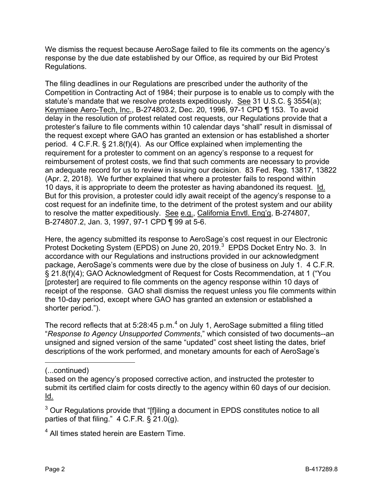We dismiss the request because AeroSage failed to file its comments on the agency's response by the due date established by our Office, as required by our Bid Protest Regulations.

The filing deadlines in our Regulations are prescribed under the authority of the Competition in Contracting Act of 1984; their purpose is to enable us to comply with the statute's mandate that we resolve protests expeditiously. See 31 U.S.C. § 3554(a); Keymiaee Aero-Tech, Inc., B-274803.2, Dec. 20, 1996, 97-1 CPD ¶ 153. To avoid delay in the resolution of protest related cost requests, our Regulations provide that a protester's failure to file comments within 10 calendar days "shall" result in dismissal of the request except where GAO has granted an extension or has established a shorter period. 4 C.F.R. § 21.8(f)(4). As our Office explained when implementing the requirement for a protester to comment on an agency's response to a request for reimbursement of protest costs, we find that such comments are necessary to provide an adequate record for us to review in issuing our decision. 83 Fed. Reg. 13817, 13822 (Apr. 2, 2018). We further explained that where a protester fails to respond within 10 days, it is appropriate to deem the protester as having abandoned its request. Id. But for this provision, a protester could idly await receipt of the agency's response to a cost request for an indefinite time, to the detriment of the protest system and our ability to resolve the matter expeditiously. See e.g., California Envtl. Eng'g, B-274807, B-274807.2, Jan. 3, 1997, 97-1 CPD ¶ 99 at 5-6.

Here, the agency submitted its response to AeroSage's cost request in our Electronic Protest Docketing System (EPDS) on June 20, 2019.<sup>[3](#page-1-0)</sup> EPDS Docket Entry No. 3. In accordance with our Regulations and instructions provided in our acknowledgment package, AeroSage's comments were due by the close of business on July 1. 4 C.F.R. § 21.8(f)(4); GAO Acknowledgment of Request for Costs Recommendation, at 1 ("You [protester] are required to file comments on the agency response within 10 days of receipt of the response. GAO shall dismiss the request unless you file comments within the 10-day period, except where GAO has granted an extension or established a shorter period.").

The record reflects that at 5:28:[4](#page-1-1)5 p.m. $<sup>4</sup>$  on July 1, AeroSage submitted a filing titled</sup> "*Response to Agency Unsupported Comments*," which consisted of two documents--an unsigned and signed version of the same "updated" cost sheet listing the dates, brief descriptions of the work performed, and monetary amounts for each of AeroSage's

(...continued)

 $\overline{a}$ 

<span id="page-1-1"></span><sup>4</sup> All times stated herein are Eastern Time.

based on the agency's proposed corrective action, and instructed the protester to submit its certified claim for costs directly to the agency within 60 days of our decision. Id.

<span id="page-1-0"></span><sup>&</sup>lt;sup>3</sup> Our Regulations provide that "[f]iling a document in EPDS constitutes notice to all parties of that filing." 4 C.F.R. § 21.0(g).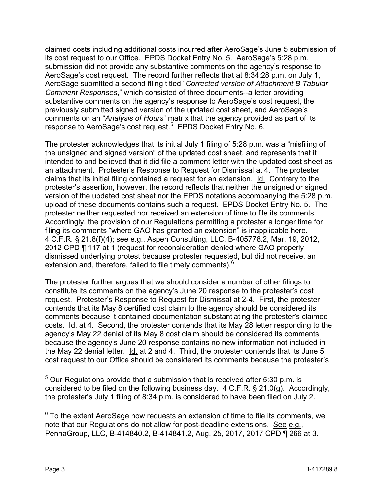claimed costs including additional costs incurred after AeroSage's June 5 submission of its cost request to our Office. EPDS Docket Entry No. 5. AeroSage's 5:28 p.m. submission did not provide any substantive comments on the agency's response to AeroSage's cost request. The record further reflects that at 8:34:28 p.m. on July 1, AeroSage submitted a second filing titled "*Corrected version of Attachment B Tabular Comment Responses*," which consisted of three documents--a letter providing substantive comments on the agency's response to AeroSage's cost request, the previously submitted signed version of the updated cost sheet, and AeroSage's comments on an "*Analysis of Hours*" matrix that the agency provided as part of its response to AeroSage's cost request.<sup>[5](#page-2-0)</sup> EPDS Docket Entry No. 6.

The protester acknowledges that its initial July 1 filing of 5:28 p.m. was a "misfiling of the unsigned and signed version" of the updated cost sheet, and represents that it intended to and believed that it did file a comment letter with the updated cost sheet as an attachment. Protester's Response to Request for Dismissal at 4. The protester claims that its initial filing contained a request for an extension. Id. Contrary to the protester's assertion, however, the record reflects that neither the unsigned or signed version of the updated cost sheet nor the EPDS notations accompanying the 5:28 p.m. upload of these documents contains such a request. EPDS Docket Entry No. 5. The protester neither requested nor received an extension of time to file its comments. Accordingly, the provision of our Regulations permitting a protester a longer time for filing its comments "where GAO has granted an extension" is inapplicable here. 4 C.F.R. § 21.8(f)(4); see e.g., Aspen Consulting, LLC, B-405778.2, Mar. 19, 2012, 2012 CPD ¶ 117 at 1 (request for reconsideration denied where GAO properly dismissed underlying protest because protester requested, but did not receive, an extension and, therefore, failed to file timely comments).<sup>[6](#page-2-1)</sup>

The protester further argues that we should consider a number of other filings to constitute its comments on the agency's June 20 response to the protester's cost request. Protester's Response to Request for Dismissal at 2-4. First, the protester contends that its May 8 certified cost claim to the agency should be considered its comments because it contained documentation substantiating the protester's claimed costs. Id. at 4. Second, the protester contends that its May 28 letter responding to the agency's May 22 denial of its May 8 cost claim should be considered its comments because the agency's June 20 response contains no new information not included in the May 22 denial letter. Id. at 2 and 4. Third, the protester contends that its June 5 cost request to our Office should be considered its comments because the protester's

<span id="page-2-0"></span> $5$  Our Regulations provide that a submission that is received after 5:30 p.m. is considered to be filed on the following business day. 4 C.F.R. § 21.0(g). Accordingly, the protester's July 1 filing of 8:34 p.m. is considered to have been filed on July 2.

<span id="page-2-1"></span> $6$  To the extent AeroSage now requests an extension of time to file its comments, we note that our Regulations do not allow for post-deadline extensions. See e.g., PennaGroup, LLC, B-414840.2, B-414841.2, Aug. 25, 2017, 2017 CPD ¶ 266 at 3.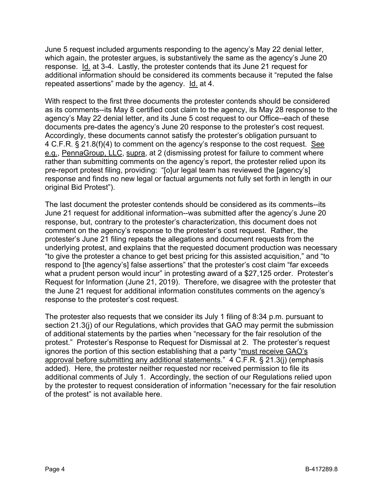June 5 request included arguments responding to the agency's May 22 denial letter, which again, the protester argues, is substantively the same as the agency's June 20 response. Id. at 3-4. Lastly, the protester contends that its June 21 request for additional information should be considered its comments because it "reputed the false repeated assertions" made by the agency. Id. at 4.

With respect to the first three documents the protester contends should be considered as its comments--its May 8 certified cost claim to the agency, its May 28 response to the agency's May 22 denial letter, and its June 5 cost request to our Office--each of these documents pre-dates the agency's June 20 response to the protester's cost request. Accordingly, these documents cannot satisfy the protester's obligation pursuant to 4 C.F.R. § 21.8(f)(4) to comment on the agency's response to the cost request. See e.g., PennaGroup, LLC, supra, at 2 (dismissing protest for failure to comment where rather than submitting comments on the agency's report, the protester relied upon its pre-report protest filing, providing: "[o]ur legal team has reviewed the [agency's] response and finds no new legal or factual arguments not fully set forth in length in our original Bid Protest").

The last document the protester contends should be considered as its comments--its June 21 request for additional information--was submitted after the agency's June 20 response, but, contrary to the protester's characterization, this document does not comment on the agency's response to the protester's cost request. Rather, the protester's June 21 filing repeats the allegations and document requests from the underlying protest, and explains that the requested document production was necessary "to give the protester a chance to get best pricing for this assisted acquisition," and "to respond to [the agency's] false assertions" that the protester's cost claim "far exceeds what a prudent person would incur" in protesting award of a \$27,125 order. Protester's Request for Information (June 21, 2019). Therefore, we disagree with the protester that the June 21 request for additional information constitutes comments on the agency's response to the protester's cost request.

The protester also requests that we consider its July 1 filing of 8:34 p.m. pursuant to section 21.3(j) of our Regulations, which provides that GAO may permit the submission of additional statements by the parties when "necessary for the fair resolution of the protest." Protester's Response to Request for Dismissal at 2. The protester's request ignores the portion of this section establishing that a party "must receive GAO's approval before submitting any additional statements." 4 C.F.R. § 21.3(j) (emphasis added). Here, the protester neither requested nor received permission to file its additional comments of July 1. Accordingly, the section of our Regulations relied upon by the protester to request consideration of information "necessary for the fair resolution of the protest" is not available here.